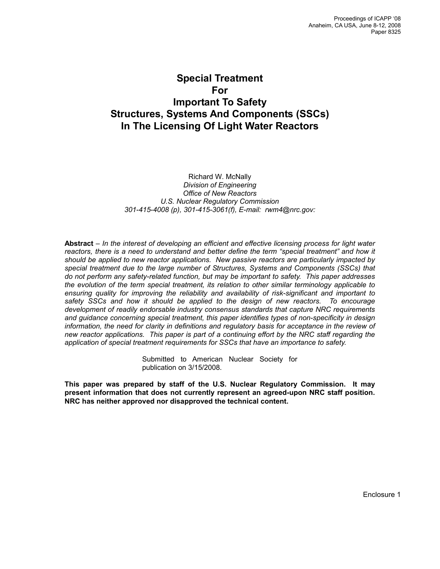# **Special Treatment For Important To Safety Structures, Systems And Components (SSCs) In The Licensing Of Light Water Reactors**

Richard W. McNally *Division of Engineering Office of New Reactors U.S. Nuclear Regulatory Commission 301-415-4008 (p), 301-415-3061(f), E-mail: rwm4@nrc.gov:* 

**Abstract** – *In the interest of developing an efficient and effective licensing process for light water*  reactors, there is a need to understand and better define the term "special treatment" and how it *should be applied to new reactor applications. New passive reactors are particularly impacted by special treatment due to the large number of Structures, Systems and Components (SSCs) that do not perform any safety-related function, but may be important to safety. This paper addresses the evolution of the term special treatment, its relation to other similar terminology applicable to ensuring quality for improving the reliability and availability of risk-significant and important to safety SSCs and how it should be applied to the design of new reactors. To encourage development of readily endorsable industry consensus standards that capture NRC requirements and guidance concerning special treatment, this paper identifies types of non-specificity in design information, the need for clarity in definitions and regulatory basis for acceptance in the review of new reactor applications. This paper is part of a continuing effort by the NRC staff regarding the application of special treatment requirements for SSCs that have an importance to safety.* 

> Submitted to American Nuclear Society for publication on 3/15/2008.

**This paper was prepared by staff of the U.S. Nuclear Regulatory Commission. It may present information that does not currently represent an agreed-upon NRC staff position. NRC has neither approved nor disapproved the technical content.**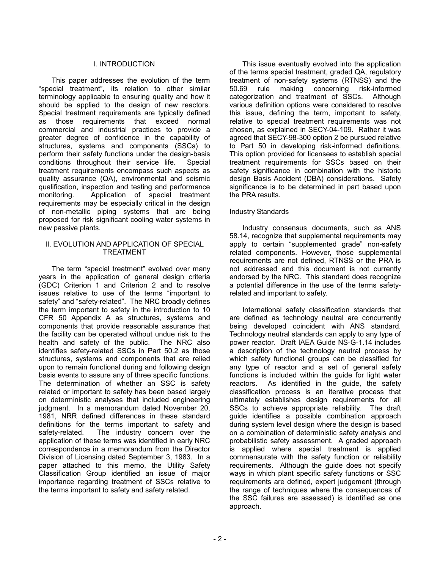#### I. INTRODUCTION

This paper addresses the evolution of the term "special treatment", its relation to other similar terminology applicable to ensuring quality and how it should be applied to the design of new reactors. Special treatment requirements are typically defined as those requirements that exceed normal commercial and industrial practices to provide a greater degree of confidence in the capability of structures, systems and components (SSCs) to perform their safety functions under the design-basis conditions throughout their service life. Special treatment requirements encompass such aspects as quality assurance (QA), environmental and seismic qualification, inspection and testing and performance monitoring. Application of special treatment requirements may be especially critical in the design of non-metallic piping systems that are being proposed for risk significant cooling water systems in new passive plants.

#### II. EVOLUTION AND APPLICATION OF SPECIAL TREATMENT

The term "special treatment" evolved over many years in the application of general design criteria (GDC) Criterion 1 and Criterion 2 and to resolve issues relative to use of the terms "important to safety" and "safety-related". The NRC broadly defines the term important to safety in the introduction to 10 CFR 50 Appendix A as structures, systems and components that provide reasonable assurance that the facility can be operated without undue risk to the health and safety of the public. The NRC also identifies safety-related SSCs in Part 50.2 as those structures, systems and components that are relied upon to remain functional during and following design basis events to assure any of three specific functions. The determination of whether an SSC is safety related or important to safety has been based largely on deterministic analyses that included engineering judgment. In a memorandum dated November 20, 1981, NRR defined differences in these standard definitions for the terms important to safety and safety-related. The industry concern over the application of these terms was identified in early NRC correspondence in a memorandum from the Director Division of Licensing dated September 3, 1983. In a paper attached to this memo, the Utility Safety Classification Group identified an issue of major importance regarding treatment of SSCs relative to the terms important to safety and safety related.

This issue eventually evolved into the application of the terms special treatment, graded QA, regulatory treatment of non-safety systems (RTNSS) and the 50.69 rule making concerning risk-informed categorization and treatment of SSCs. Although various definition options were considered to resolve this issue, defining the term, important to safety, relative to special treatment requirements was not chosen, as explained in SECY-04-109. Rather it was agreed that SECY-98-300 option 2 be pursued relative to Part 50 in developing risk-informed definitions. This option provided for licensees to establish special treatment requirements for SSCs based on their safety significance in combination with the historic design Basis Accident (DBA) considerations. Safety significance is to be determined in part based upon the PRA results.

### Industry Standards

Industry consensus documents, such as ANS 58.14, recognize that supplemental requirements may apply to certain "supplemented grade" non-safety related components. However, those supplemental requirements are not defined, RTNSS or the PRA is not addressed and this document is not currently endorsed by the NRC. This standard does recognize a potential difference in the use of the terms safetyrelated and important to safety.

International safety classification standards that are defined as technology neutral are concurrently being developed coincident with ANS standard. Technology neutral standards can apply to any type of power reactor. Draft IAEA Guide NS-G-1.14 includes a description of the technology neutral process by which safety functional groups can be classified for any type of reactor and a set of general safety functions is included within the guide for light water reactors. As identified in the guide, the safety classification process is an iterative process that ultimately establishes design requirements for all SSCs to achieve appropriate reliability. The draft guide identifies a possible combination approach during system level design where the design is based on a combination of deterministic safety analysis and probabilistic safety assessment. A graded approach is applied where special treatment is applied commensurate with the safety function or reliability requirements. Although the guide does not specify ways in which plant specific safety functions or SSC requirements are defined, expert judgement (through the range of techniques where the consequences of the SSC failures are assessed) is identified as one approach.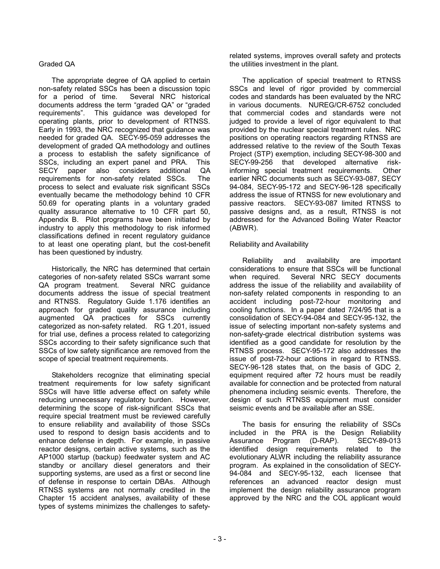## Graded QA

The appropriate degree of QA applied to certain non-safety related SSCs has been a discussion topic for a period of time. Several NRC historical documents address the term "graded QA" or "graded requirements". This guidance was developed for operating plants, prior to development of RTNSS. Early in 1993, the NRC recognized that guidance was needed for graded QA. SECY-95-059 addresses the development of graded QA methodology and outlines a process to establish the safety significance of SSCs, including an expert panel and PRA. This SECY paper also considers additional QA requirements for non-safety related SSCs. The process to select and evaluate risk significant SSCs eventually became the methodology behind 10 CFR 50.69 for operating plants in a voluntary graded quality assurance alternative to 10 CFR part 50, Appendix B. Pilot programs have been initiated by industry to apply this methodology to risk informed classifications defined in recent regulatory guidance to at least one operating plant, but the cost-benefit has been questioned by industry.

Historically, the NRC has determined that certain categories of non-safety related SSCs warrant some QA program treatment. Several NRC guidance documents address the issue of special treatment and RTNSS. Regulatory Guide 1.176 identifies an approach for graded quality assurance including augmented QA practices for SSCs currently categorized as non-safety related. RG 1.201, issued for trial use, defines a process related to categorizing SSCs according to their safety significance such that SSCs of low safety significance are removed from the scope of special treatment requirements.

Stakeholders recognize that eliminating special treatment requirements for low safety significant SSCs will have little adverse effect on safety while reducing unnecessary regulatory burden. However, determining the scope of risk-significant SSCs that require special treatment must be reviewed carefully to ensure reliability and availability of those SSCs used to respond to design basis accidents and to enhance defense in depth. For example, in passive reactor designs, certain active systems, such as the AP1000 startup (backup) feedwater system and AC standby or ancillary diesel generators and their supporting systems, are used as a first or second line of defense in response to certain DBAs. Although RTNSS systems are not normally credited in the Chapter 15 accident analyses, availability of these types of systems minimizes the challenges to safetyrelated systems, improves overall safety and protects the utilities investment in the plant.

The application of special treatment to RTNSS SSCs and level of rigor provided by commercial codes and standards has been evaluated by the NRC in various documents. NUREG/CR-6752 concluded that commercial codes and standards were not judged to provide a level of rigor equivalent to that provided by the nuclear special treatment rules. NRC positions on operating reactors regarding RTNSS are addressed relative to the review of the South Texas Project (STP) exemption, including SECY-98-300 and SECY-99-256 that developed alternative riskinforming special treatment requirements. Other earlier NRC documents such as SECY-93-087, SECY 94-084, SECY-95-172 and SECY-96-128 specifically address the issue of RTNSS for new evolutionary and passive reactors. SECY-93-087 limited RTNSS to passive designs and, as a result, RTNSS is not addressed for the Advanced Boiling Water Reactor (ABWR).

### Reliability and Availability

Reliability and availability are important considerations to ensure that SSCs will be functional when required. Several NRC SECY documents address the issue of the reliability and availability of non-safety related components in responding to an accident including post-72-hour monitoring and cooling functions. In a paper dated 7/24/95 that is a consolidation of SECY-94-084 and SECY-95-132, the issue of selecting important non-safety systems and non-safety-grade electrical distribution systems was identified as a good candidate for resolution by the RTNSS process. SECY-95-172 also addresses the issue of post-72-hour actions in regard to RTNSS. SECY-96-128 states that, on the basis of GDC 2, equipment required after 72 hours must be readily available for connection and be protected from natural phenomena including seismic events. Therefore, the design of such RTNSS equipment must consider seismic events and be available after an SSE.

The basis for ensuring the reliability of SSCs included in the PRA is the Design Reliability Assurance Program (D-RAP). SECY-89-013 identified design requirements related to the evolutionary ALWR including the reliability assurance program. As explained in the consolidation of SECY-94-084 and SECY-95-132, each licensee that references an advanced reactor design must implement the design reliability assurance program approved by the NRC and the COL applicant would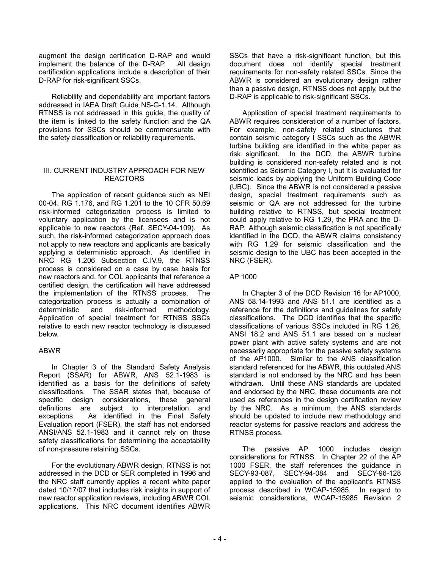augment the design certification D-RAP and would implement the balance of the D-RAP. All design certification applications include a description of their D-RAP for risk-significant SSCs.

Reliability and dependability are important factors addressed in IAEA Draft Guide NS-G-1.14. Although RTNSS is not addressed in this guide, the quality of the item is linked to the safety function and the QA provisions for SSCs should be commensurate with the safety classification or reliability requirements.

### III. CURRENT INDUSTRY APPROACH FOR NEW REACTORS

The application of recent guidance such as NEI 00-04, RG 1.176, and RG 1.201 to the 10 CFR 50.69 risk-informed categorization process is limited to voluntary application by the licensees and is not applicable to new reactors (Ref. SECY-04-109). As such, the risk-informed categorization approach does not apply to new reactors and applicants are basically applying a deterministic approach. As identified in NRC RG 1.206 Subsection C.IV.9, the RTNSS process is considered on a case by case basis for new reactors and, for COL applicants that reference a certified design, the certification will have addressed the implementation of the RTNSS process. The categorization process is actually a combination of deterministic and risk-informed methodology. Application of special treatment for RTNSS SSCs relative to each new reactor technology is discussed below.

## ABWR

In Chapter 3 of the Standard Safety Analysis Report (SSAR) for ABWR, ANS 52.1-1983 is identified as a basis for the definitions of safety classifications. The SSAR states that, because of specific design considerations, these general definitions are subject to interpretation and exceptions. As identified in the Final Safety Evaluation report (FSER), the staff has not endorsed ANSI/ANS 52.1-1983 and it cannot rely on those safety classifications for determining the acceptability of non-pressure retaining SSCs.

For the evolutionary ABWR design, RTNSS is not addressed in the DCD or SER completed in 1996 and the NRC staff currently applies a recent white paper dated 10/17/07 that includes risk insights in support of new reactor application reviews, including ABWR COL applications. This NRC document identifies ABWR

SSCs that have a risk-significant function, but this document does not identify special treatment requirements for non-safety related SSCs. Since the ABWR is considered an evolutionary design rather than a passive design, RTNSS does not apply, but the D-RAP is applicable to risk-significant SSCs.

Application of special treatment requirements to ABWR requires consideration of a number of factors. For example, non-safety related structures that contain seismic category I SSCs such as the ABWR turbine building are identified in the white paper as risk significant. In the DCD, the ABWR turbine building is considered non-safety related and is not identified as Seismic Category I, but it is evaluated for seismic loads by applying the Uniform Building Code (UBC). Since the ABWR is not considered a passive design, special treatment requirements such as seismic or QA are not addressed for the turbine building relative to RTNSS, but special treatment could apply relative to RG 1.29, the PRA and the D-RAP. Although seismic classification is not specifically identified in the DCD, the ABWR claims consistency with RG 1.29 for seismic classification and the seismic design to the UBC has been accepted in the NRC (FSER).

## AP 1000

In Chapter 3 of the DCD Revision 16 for AP1000, ANS 58.14-1993 and ANS 51.1 are identified as a reference for the definitions and guidelines for safety classifications. The DCD identifies that the specific classifications of various SSCs included in RG 1.26, ANSI 18.2 and ANS 51.1 are based on a nuclear power plant with active safety systems and are not necessarily appropriate for the passive safety systems of the AP1000. Similar to the ANS classification standard referenced for the ABWR, this outdated ANS standard is not endorsed by the NRC and has been withdrawn. Until these ANS standards are updated and endorsed by the NRC, these documents are not used as references in the design certification review by the NRC. As a minimum, the ANS standards should be updated to include new methodology and reactor systems for passive reactors and address the RTNSS process.

The passive AP 1000 includes design considerations for RTNSS. In Chapter 22 of the AP 1000 FSER, the staff references the guidance in SECY-93-087, SECY-94-084 and SECY-96-128 applied to the evaluation of the applicant's RTNSS process described in WCAP-15985. In regard to seismic considerations, WCAP-15985 Revision 2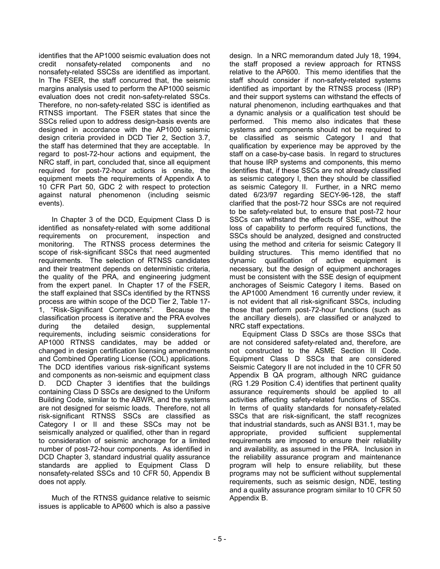identifies that the AP1000 seismic evaluation does not credit nonsafety-related components and no nonsafety-related SSCSs are identified as important. In The FSER, the staff concurred that, the seismic margins analysis used to perform the AP1000 seismic evaluation does not credit non-safety-related SSCs. Therefore, no non-safety-related SSC is identified as RTNSS important. The FSER states that since the SSCs relied upon to address design-basis events are designed in accordance with the AP1000 seismic design criteria provided in DCD Tier 2, Section 3.7, the staff has determined that they are acceptable. In regard to post-72-hour actions and equipment, the NRC staff, in part, concluded that, since all equipment required for post-72-hour actions is onsite, the equipment meets the requirements of Appendix A to 10 CFR Part 50, GDC 2 with respect to protection against natural phenomenon (including seismic events).

In Chapter 3 of the DCD, Equipment Class D is identified as nonsafety-related with some additional requirements on procurement, inspection and monitoring. The RTNSS process determines the scope of risk-significant SSCs that need augmented requirements. The selection of RTNSS candidates and their treatment depends on deterministic criteria, the quality of the PRA, and engineering judgment from the expert panel. In Chapter 17 of the FSER, the staff explained that SSCs identified by the RTNSS process are within scope of the DCD Tier 2, Table 17- 1, "Risk-Significant Components". Because the classification process is iterative and the PRA evolves during the detailed design, supplemental requirements, including seismic considerations for AP1000 RTNSS candidates, may be added or changed in design certification licensing amendments and Combined Operating License (COL) applications. The DCD identifies various risk-significant systems and components as non-seismic and equipment class D. DCD Chapter 3 identifies that the buildings containing Class D SSCs are designed to the Uniform Building Code, similar to the ABWR, and the systems are not designed for seismic loads. Therefore, not all risk-significant RTNSS SSCs are classified as Category I or II and these SSCs may not be seismically analyzed or qualified, other than in regard to consideration of seismic anchorage for a limited number of post-72-hour components. As identified in DCD Chapter 3, standard industrial quality assurance standards are applied to Equipment Class D nonsafety-related SSCs and 10 CFR 50, Appendix B does not apply.

Much of the RTNSS guidance relative to seismic issues is applicable to AP600 which is also a passive design. In a NRC memorandum dated July 18, 1994, the staff proposed a review approach for RTNSS relative to the AP600. This memo identifies that the staff should consider if non-safety-related systems identified as important by the RTNSS process (IRP) and their support systems can withstand the effects of natural phenomenon, including earthquakes and that a dynamic analysis or a qualification test should be performed. This memo also indicates that these systems and components should not be required to be classified as seismic Category I and that qualification by experience may be approved by the staff on a case-by-case basis. In regard to structures that house IRP systems and components, this memo identifies that, if these SSCs are not already classified as seismic category I, then they should be classified as seismic Category II. Further, in a NRC memo dated 6/23/97 regarding SECY-96-128, the staff clarified that the post-72 hour SSCs are not required to be safety-related but, to ensure that post-72 hour SSCs can withstand the effects of SSE, without the loss of capability to perform required functions, the SSCs should be analyzed, designed and constructed using the method and criteria for seismic Category II building structures. This memo identified that no dynamic qualification of active equipment is necessary, but the design of equipment anchorages must be consistent with the SSE design of equipment anchorages of Seismic Category I items. Based on the AP1000 Amendment 16 currently under review, it is not evident that all risk-significant SSCs, including those that perform post-72-hour functions (such as the ancillary diesels), are classified or analyzed to NRC staff expectations.

Equipment Class D SSCs are those SSCs that are not considered safety-related and, therefore, are not constructed to the ASME Section III Code. Equipment Class D SSCs that are considered Seismic Category II are not included in the 10 CFR 50 Appendix B QA program, although NRC guidance (RG 1.29 Position C.4) identifies that pertinent quality assurance requirements should be applied to all activities affecting safety-related functions of SSCs. In terms of quality standards for nonsafety-related SSCs that are risk-significant, the staff recognizes that industrial standards, such as ANSI B31.1, may be appropriate, provided sufficient supplemental requirements are imposed to ensure their reliability and availability, as assumed in the PRA. Inclusion in the reliability assurance program and maintenance program will help to ensure reliability, but these programs may not be sufficient without supplemental requirements, such as seismic design, NDE, testing and a quality assurance program similar to 10 CFR 50 Appendix B.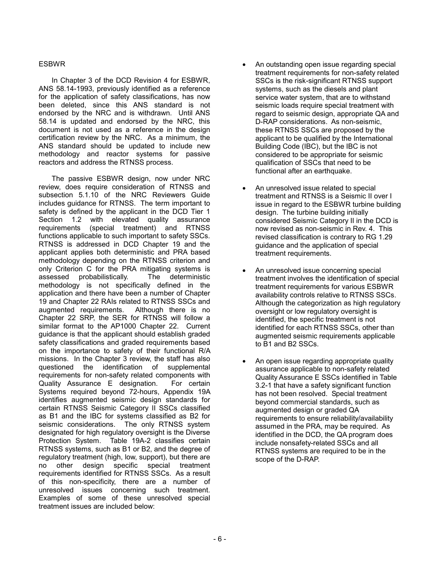#### ESBWR

In Chapter 3 of the DCD Revision 4 for ESBWR, ANS 58.14-1993, previously identified as a reference for the application of safety classifications, has now been deleted, since this ANS standard is not endorsed by the NRC and is withdrawn. Until ANS 58.14 is updated and endorsed by the NRC, this document is not used as a reference in the design certification review by the NRC. As a minimum, the ANS standard should be updated to include new methodology and reactor systems for passive reactors and address the RTNSS process.

The passive ESBWR design, now under NRC review, does require consideration of RTNSS and subsection 5.1.10 of the NRC Reviewers Guide includes guidance for RTNSS. The term important to safety is defined by the applicant in the DCD Tier 1 Section 1.2 with elevated quality assurance requirements (special treatment) and RTNSS functions applicable to such important to safety SSCs. RTNSS is addressed in DCD Chapter 19 and the applicant applies both deterministic and PRA based methodology depending on the RTNSS criterion and only Criterion C for the PRA mitigating systems is assessed probabilistically. The deterministic methodology is not specifically defined in the application and there have been a number of Chapter 19 and Chapter 22 RAIs related to RTNSS SSCs and augmented requirements. Although there is no Chapter 22 SRP, the SER for RTNSS will follow a similar format to the AP1000 Chapter 22. Current guidance is that the applicant should establish graded safety classifications and graded requirements based on the importance to safety of their functional R/A missions. In the Chapter 3 review, the staff has also questioned the identification of supplemental requirements for non-safety related components with Quality Assurance E designation. For certain Systems required beyond 72-hours, Appendix 19A identifies augmented seismic design standards for certain RTNSS Seismic Category II SSCs classified as B1 and the IBC for systems classified as B2 for seismic considerations. The only RTNSS system designated for high regulatory oversight is the Diverse Protection System. Table 19A-2 classifies certain RTNSS systems, such as B1 or B2, and the degree of regulatory treatment (high, low, support), but there are no other design specific special treatment requirements identified for RTNSS SSCs. As a result of this non-specificity, there are a number of unresolved issues concerning such treatment. Examples of some of these unresolved special treatment issues are included below:

- An outstanding open issue regarding special treatment requirements for non-safety related SSCs is the risk-significant RTNSS support systems, such as the diesels and plant service water system, that are to withstand seismic loads require special treatment with regard to seismic design, appropriate QA and D-RAP considerations. As non-seismic, these RTNSS SSCs are proposed by the applicant to be qualified by the International Building Code (IBC), but the IBC is not considered to be appropriate for seismic qualification of SSCs that need to be functional after an earthquake.
- An unresolved issue related to special treatment and RTNSS is a Seismic II over I issue in regard to the ESBWR turbine building design. The turbine building initially considered Seismic Category II in the DCD is now revised as non-seismic in Rev. 4. This revised classification is contrary to RG 1.29 guidance and the application of special treatment requirements.
- An unresolved issue concerning special treatment involves the identification of special treatment requirements for various ESBWR availability controls relative to RTNSS SSCs. Although the categorization as high regulatory oversight or low regulatory oversight is identified, the specific treatment is not identified for each RTNSS SSCs, other than augmented seismic requirements applicable to B1 and B2 SSCs.
- An open issue regarding appropriate quality assurance applicable to non-safety related Quality Assurance E SSCs identified in Table 3.2-1 that have a safety significant function has not been resolved. Special treatment beyond commercial standards, such as augmented design or graded QA requirements to ensure reliability/availability assumed in the PRA, may be required. As identified in the DCD, the QA program does include nonsafety-related SSCs and all RTNSS systems are required to be in the scope of the D-RAP.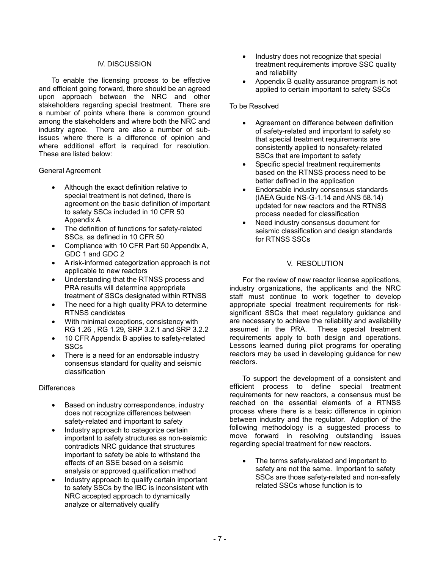#### IV. DISCUSSION

To enable the licensing process to be effective and efficient going forward, there should be an agreed upon approach between the NRC and other stakeholders regarding special treatment. There are a number of points where there is common ground among the stakeholders and where both the NRC and industry agree. There are also a number of subissues where there is a difference of opinion and where additional effort is required for resolution. These are listed below:

#### General Agreement

- Although the exact definition relative to special treatment is not defined, there is agreement on the basic definition of important to safety SSCs included in 10 CFR 50 Appendix A
- The definition of functions for safety-related SSCs, as defined in 10 CFR 50
- Compliance with 10 CFR Part 50 Appendix A, GDC 1 and GDC 2
- A risk-informed categorization approach is not applicable to new reactors
- Understanding that the RTNSS process and PRA results will determine appropriate treatment of SSCs designated within RTNSS
- The need for a high quality PRA to determine RTNSS candidates
- With minimal exceptions, consistency with RG 1.26 , RG 1.29, SRP 3.2.1 and SRP 3.2.2
- 10 CFR Appendix B applies to safety-related SSCs
- There is a need for an endorsable industry consensus standard for quality and seismic classification

## **Differences**

- Based on industry correspondence, industry does not recognize differences between safety-related and important to safety
- Industry approach to categorize certain important to safety structures as non-seismic contradicts NRC guidance that structures important to safety be able to withstand the effects of an SSE based on a seismic analysis or approved qualification method
- Industry approach to qualify certain important to safety SSCs by the IBC is inconsistent with NRC accepted approach to dynamically analyze or alternatively qualify
- Industry does not recognize that special treatment requirements improve SSC quality and reliability
- Appendix B quality assurance program is not applied to certain important to safety SSCs

## To be Resolved

- Agreement on difference between definition of safety-related and important to safety so that special treatment requirements are consistently applied to nonsafety-related SSCs that are important to safety
- Specific special treatment requirements based on the RTNSS process need to be better defined in the application
- Endorsable industry consensus standards (IAEA Guide NS-G-1.14 and ANS 58.14) updated for new reactors and the RTNSS process needed for classification
- Need industry consensus document for seismic classification and design standards for RTNSS SSCs

### V. RESOLUTION

For the review of new reactor license applications, industry organizations, the applicants and the NRC staff must continue to work together to develop appropriate special treatment requirements for risksignificant SSCs that meet regulatory guidance and are necessary to achieve the reliability and availability assumed in the PRA. These special treatment requirements apply to both design and operations. Lessons learned during pilot programs for operating reactors may be used in developing guidance for new reactors.

To support the development of a consistent and efficient process to define special treatment requirements for new reactors, a consensus must be reached on the essential elements of a RTNSS process where there is a basic difference in opinion between industry and the regulator. Adoption of the following methodology is a suggested process to move forward in resolving outstanding issues regarding special treatment for new reactors.

• The terms safety-related and important to safety are not the same. Important to safety SSCs are those safety-related and non-safety related SSCs whose function is to